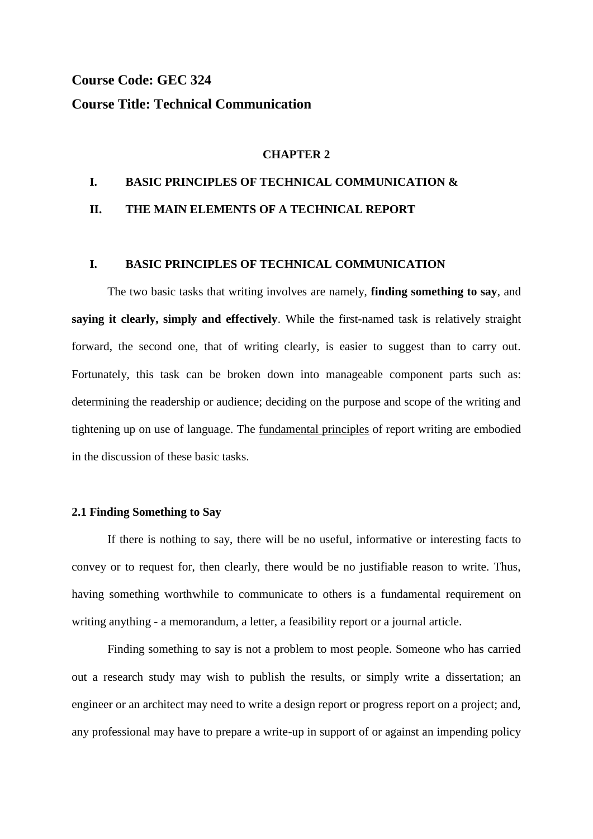# **Course Code: GEC 324 Course Title: Technical Communication**

#### **CHAPTER 2**

#### **I. BASIC PRINCIPLES OF TECHNICAL COMMUNICATION &**

### **II. THE MAIN ELEMENTS OF A TECHNICAL REPORT**

#### **I. BASIC PRINCIPLES OF TECHNICAL COMMUNICATION**

The two basic tasks that writing involves are namely, **finding something to say**, and **saying it clearly, simply and effectively**. While the first-named task is relatively straight forward, the second one, that of writing clearly, is easier to suggest than to carry out. Fortunately, this task can be broken down into manageable component parts such as: determining the readership or audience; deciding on the purpose and scope of the writing and tightening up on use of language. The fundamental principles of report writing are embodied in the discussion of these basic tasks.

#### **2.1 Finding Something to Say**

If there is nothing to say, there will be no useful, informative or interesting facts to convey or to request for, then clearly, there would be no justifiable reason to write. Thus, having something worthwhile to communicate to others is a fundamental requirement on writing anything - a memorandum, a letter, a feasibility report or a journal article.

Finding something to say is not a problem to most people. Someone who has carried out a research study may wish to publish the results, or simply write a dissertation; an engineer or an architect may need to write a design report or progress report on a project; and, any professional may have to prepare a write-up in support of or against an impending policy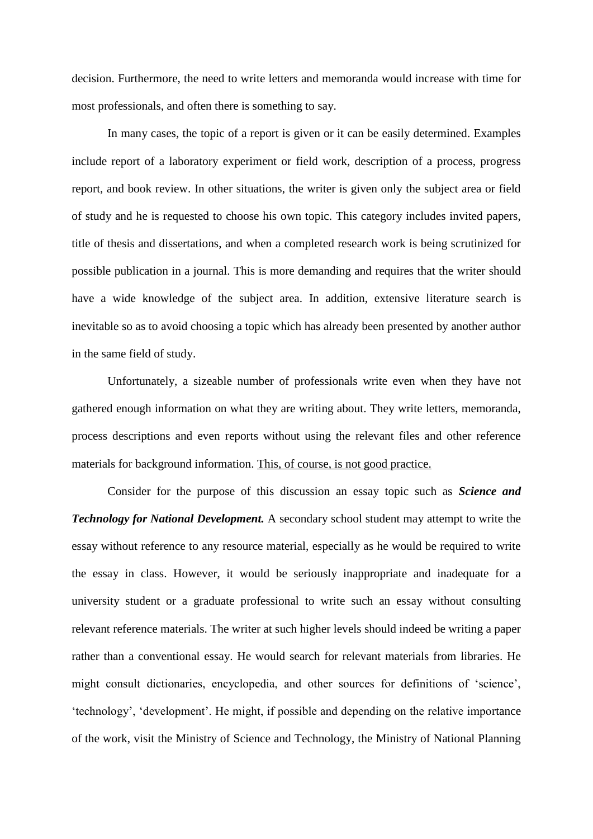decision. Furthermore, the need to write letters and memoranda would increase with time for most professionals, and often there is something to say.

In many cases, the topic of a report is given or it can be easily determined. Examples include report of a laboratory experiment or field work, description of a process, progress report, and book review. In other situations, the writer is given only the subject area or field of study and he is requested to choose his own topic. This category includes invited papers, title of thesis and dissertations, and when a completed research work is being scrutinized for possible publication in a journal. This is more demanding and requires that the writer should have a wide knowledge of the subject area. In addition, extensive literature search is inevitable so as to avoid choosing a topic which has already been presented by another author in the same field of study.

Unfortunately, a sizeable number of professionals write even when they have not gathered enough information on what they are writing about. They write letters, memoranda, process descriptions and even reports without using the relevant files and other reference materials for background information. This, of course, is not good practice.

Consider for the purpose of this discussion an essay topic such as *Science and Technology for National Development.* A secondary school student may attempt to write the essay without reference to any resource material, especially as he would be required to write the essay in class. However, it would be seriously inappropriate and inadequate for a university student or a graduate professional to write such an essay without consulting relevant reference materials. The writer at such higher levels should indeed be writing a paper rather than a conventional essay. He would search for relevant materials from libraries. He might consult dictionaries, encyclopedia, and other sources for definitions of "science", "technology", "development". He might, if possible and depending on the relative importance of the work, visit the Ministry of Science and Technology, the Ministry of National Planning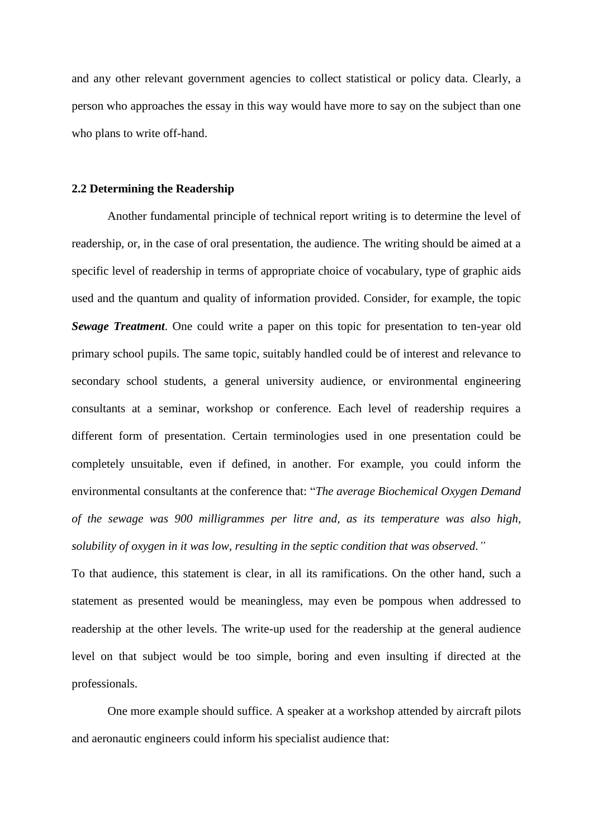and any other relevant government agencies to collect statistical or policy data. Clearly, a person who approaches the essay in this way would have more to say on the subject than one who plans to write off-hand.

#### **2.2 Determining the Readership**

Another fundamental principle of technical report writing is to determine the level of readership, or, in the case of oral presentation, the audience. The writing should be aimed at a specific level of readership in terms of appropriate choice of vocabulary, type of graphic aids used and the quantum and quality of information provided. Consider, for example, the topic *Sewage Treatment*. One could write a paper on this topic for presentation to ten-year old primary school pupils. The same topic, suitably handled could be of interest and relevance to secondary school students, a general university audience, or environmental engineering consultants at a seminar, workshop or conference. Each level of readership requires a different form of presentation. Certain terminologies used in one presentation could be completely unsuitable, even if defined, in another. For example, you could inform the environmental consultants at the conference that: "*The average Biochemical Oxygen Demand of the sewage was 900 milligrammes per litre and, as its temperature was also high, solubility of oxygen in it was low, resulting in the septic condition that was observed."*

To that audience, this statement is clear, in all its ramifications. On the other hand, such a statement as presented would be meaningless, may even be pompous when addressed to readership at the other levels. The write-up used for the readership at the general audience level on that subject would be too simple, boring and even insulting if directed at the professionals.

One more example should suffice. A speaker at a workshop attended by aircraft pilots and aeronautic engineers could inform his specialist audience that: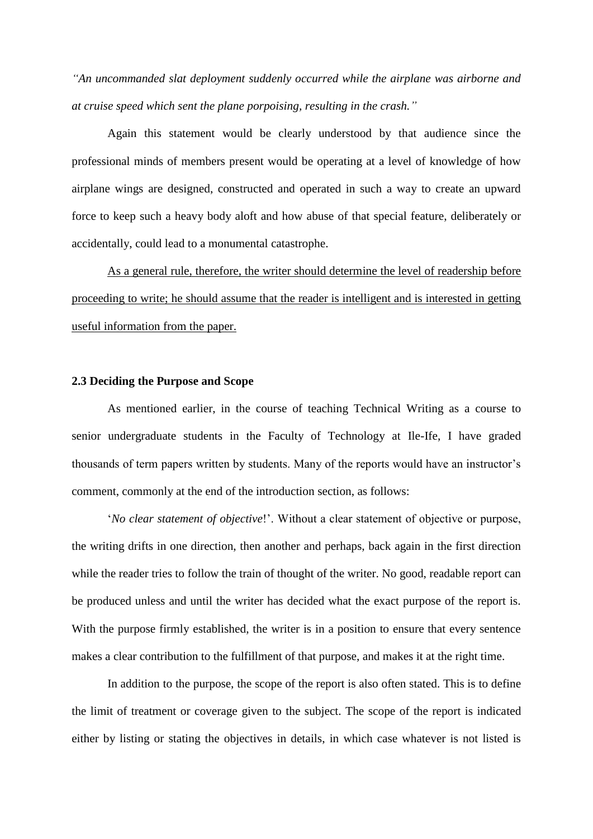*"An uncommanded slat deployment suddenly occurred while the airplane was airborne and at cruise speed which sent the plane porpoising, resulting in the crash."*

Again this statement would be clearly understood by that audience since the professional minds of members present would be operating at a level of knowledge of how airplane wings are designed, constructed and operated in such a way to create an upward force to keep such a heavy body aloft and how abuse of that special feature, deliberately or accidentally, could lead to a monumental catastrophe.

As a general rule, therefore, the writer should determine the level of readership before proceeding to write; he should assume that the reader is intelligent and is interested in getting useful information from the paper.

#### **2.3 Deciding the Purpose and Scope**

As mentioned earlier, in the course of teaching Technical Writing as a course to senior undergraduate students in the Faculty of Technology at Ile-Ife, I have graded thousands of term papers written by students. Many of the reports would have an instructor's comment, commonly at the end of the introduction section, as follows:

"*No clear statement of objective*!". Without a clear statement of objective or purpose, the writing drifts in one direction, then another and perhaps, back again in the first direction while the reader tries to follow the train of thought of the writer. No good, readable report can be produced unless and until the writer has decided what the exact purpose of the report is. With the purpose firmly established, the writer is in a position to ensure that every sentence makes a clear contribution to the fulfillment of that purpose, and makes it at the right time.

In addition to the purpose, the scope of the report is also often stated. This is to define the limit of treatment or coverage given to the subject. The scope of the report is indicated either by listing or stating the objectives in details, in which case whatever is not listed is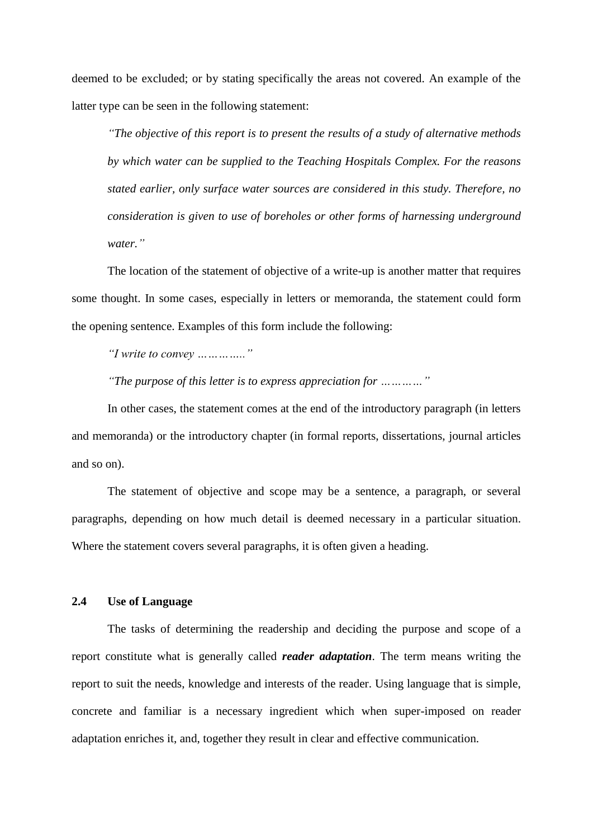deemed to be excluded; or by stating specifically the areas not covered. An example of the latter type can be seen in the following statement:

*"The objective of this report is to present the results of a study of alternative methods by which water can be supplied to the Teaching Hospitals Complex. For the reasons stated earlier, only surface water sources are considered in this study. Therefore, no consideration is given to use of boreholes or other forms of harnessing underground water."*

The location of the statement of objective of a write-up is another matter that requires some thought. In some cases, especially in letters or memoranda, the statement could form the opening sentence. Examples of this form include the following:

*"I write to convey ………….."*

*"The purpose of this letter is to express appreciation for …………"*

In other cases, the statement comes at the end of the introductory paragraph (in letters and memoranda) or the introductory chapter (in formal reports, dissertations, journal articles and so on).

The statement of objective and scope may be a sentence, a paragraph, or several paragraphs, depending on how much detail is deemed necessary in a particular situation. Where the statement covers several paragraphs, it is often given a heading.

#### **2.4 Use of Language**

The tasks of determining the readership and deciding the purpose and scope of a report constitute what is generally called *reader adaptation*. The term means writing the report to suit the needs, knowledge and interests of the reader. Using language that is simple, concrete and familiar is a necessary ingredient which when super-imposed on reader adaptation enriches it, and, together they result in clear and effective communication.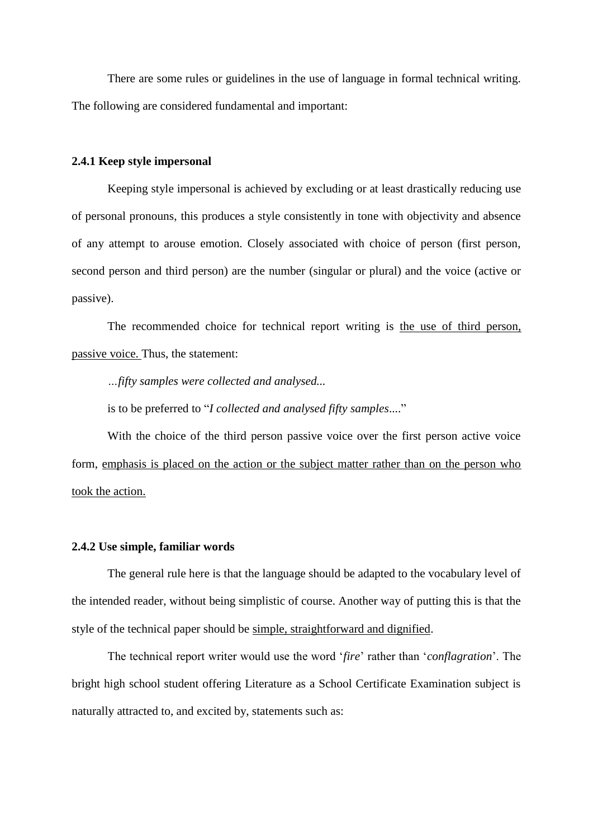There are some rules or guidelines in the use of language in formal technical writing. The following are considered fundamental and important:

#### **2.4.1 Keep style impersonal**

Keeping style impersonal is achieved by excluding or at least drastically reducing use of personal pronouns, this produces a style consistently in tone with objectivity and absence of any attempt to arouse emotion. Closely associated with choice of person (first person, second person and third person) are the number (singular or plural) and the voice (active or passive).

The recommended choice for technical report writing is the use of third person, passive voice. Thus, the statement:

*…fifty samples were collected and analysed...*

is to be preferred to "*I collected and analysed fifty samples*...."

With the choice of the third person passive voice over the first person active voice form, emphasis is placed on the action or the subject matter rather than on the person who took the action.

#### **2.4.2 Use simple, familiar words**

The general rule here is that the language should be adapted to the vocabulary level of the intended reader, without being simplistic of course. Another way of putting this is that the style of the technical paper should be simple, straightforward and dignified.

The technical report writer would use the word "*fire*" rather than "*conflagration*". The bright high school student offering Literature as a School Certificate Examination subject is naturally attracted to, and excited by, statements such as: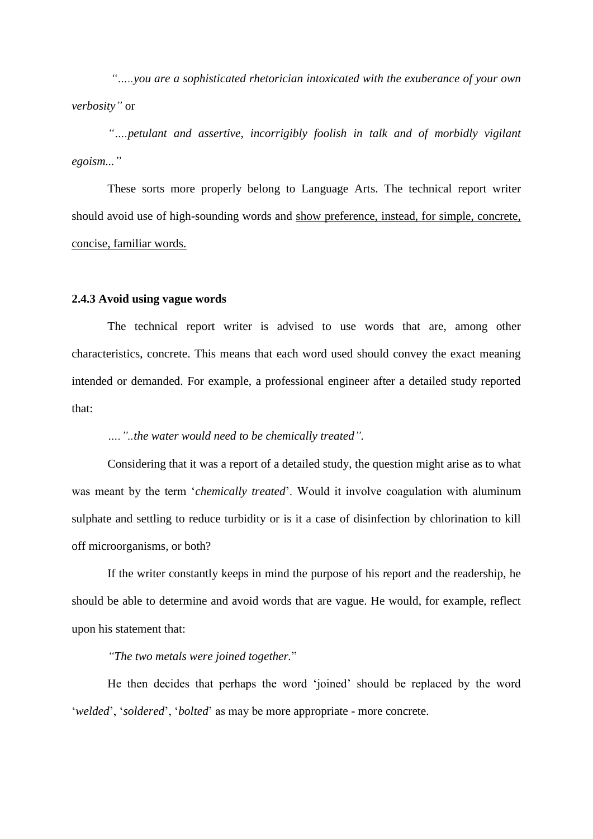*"…..you are a sophisticated rhetorician intoxicated with the exuberance of your own verbosity"* or

*"….petulant and assertive, incorrigibly foolish in talk and of morbidly vigilant egoism..."*

These sorts more properly belong to Language Arts. The technical report writer should avoid use of high-sounding words and show preference, instead, for simple, concrete, concise, familiar words.

#### **2.4.3 Avoid using vague words**

The technical report writer is advised to use words that are, among other characteristics, concrete. This means that each word used should convey the exact meaning intended or demanded. For example, a professional engineer after a detailed study reported that:

#### *…."..the water would need to be chemically treated".*

Considering that it was a report of a detailed study, the question might arise as to what was meant by the term "*chemically treated*". Would it involve coagulation with aluminum sulphate and settling to reduce turbidity or is it a case of disinfection by chlorination to kill off microorganisms, or both?

If the writer constantly keeps in mind the purpose of his report and the readership, he should be able to determine and avoid words that are vague. He would, for example, reflect upon his statement that:

#### *"The two metals were joined together.*"

He then decides that perhaps the word "joined" should be replaced by the word "*welded*", "*soldered*", "*bolted*" as may be more appropriate - more concrete.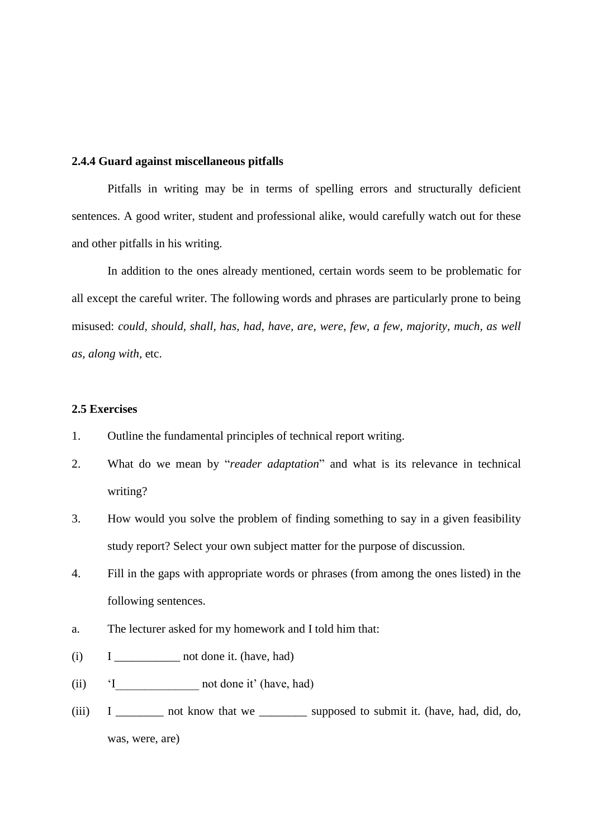#### **2.4.4 Guard against miscellaneous pitfalls**

Pitfalls in writing may be in terms of spelling errors and structurally deficient sentences. A good writer, student and professional alike, would carefully watch out for these and other pitfalls in his writing.

In addition to the ones already mentioned, certain words seem to be problematic for all except the careful writer. The following words and phrases are particularly prone to being misused: *could, should, shall, has, had, have, are, were, few, a few, majority, much, as well as, along with,* etc.

#### **2.5 Exercises**

- 1. Outline the fundamental principles of technical report writing.
- 2. What do we mean by "*reader adaptation*" and what is its relevance in technical writing?
- 3. How would you solve the problem of finding something to say in a given feasibility study report? Select your own subject matter for the purpose of discussion.
- 4. Fill in the gaps with appropriate words or phrases (from among the ones listed) in the following sentences.
- a. The lecturer asked for my homework and I told him that:
- (i) I \_\_\_\_\_\_\_\_\_\_\_ not done it. (have, had)
- (ii) 'I not done it' (have, had)
- (iii)  $I \_$  not know that we  $\_$  supposed to submit it. (have, had, did, do, was, were, are)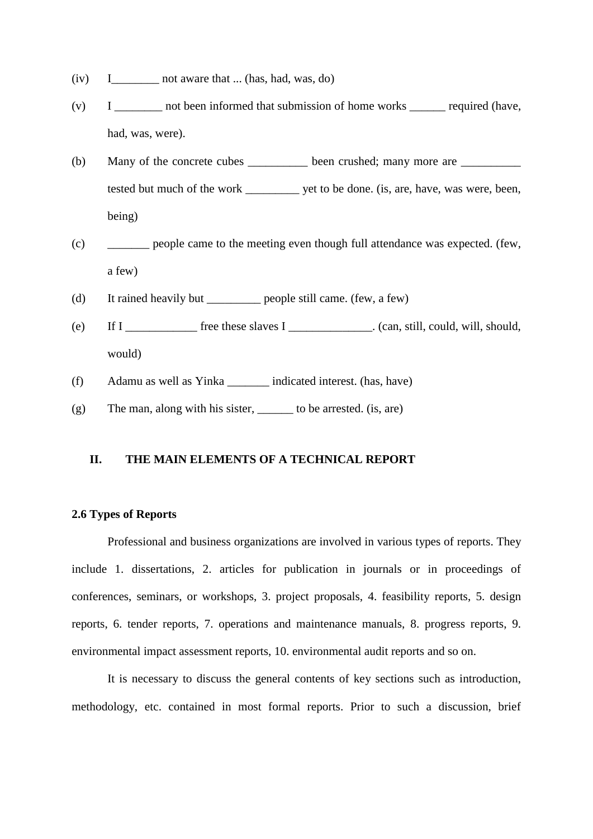- (iv) I not aware that ... (has, had, was, do)
- (v) I contract not been informed that submission of home works required (have, had, was, were).
- (b) Many of the concrete cubes  $\rule{1em}{0.15mm}$  been crushed; many more are  $\rule{1.15mm}{}$ tested but much of the work \_\_\_\_\_\_\_\_\_ yet to be done. (is, are, have, was were, been, being)
- (c) \_\_\_\_\_\_\_ people came to the meeting even though full attendance was expected. (few, a few)
- (d) It rained heavily but \_\_\_\_\_\_\_\_\_ people still came. (few, a few)
- (e) If I \_\_\_\_\_\_\_\_\_\_\_\_ free these slaves I \_\_\_\_\_\_\_\_\_\_\_\_\_\_. (can, still, could, will, should, would)
- (f) Adamu as well as Yinka \_\_\_\_\_\_\_ indicated interest. (has, have)
- $(g)$  The man, along with his sister, to be arrested. (is, are)

#### **II. THE MAIN ELEMENTS OF A TECHNICAL REPORT**

#### **2.6 Types of Reports**

Professional and business organizations are involved in various types of reports. They include 1. dissertations, 2. articles for publication in journals or in proceedings of conferences, seminars, or workshops, 3. project proposals, 4. feasibility reports, 5. design reports, 6. tender reports, 7. operations and maintenance manuals, 8. progress reports, 9. environmental impact assessment reports, 10. environmental audit reports and so on.

It is necessary to discuss the general contents of key sections such as introduction, methodology, etc. contained in most formal reports. Prior to such a discussion, brief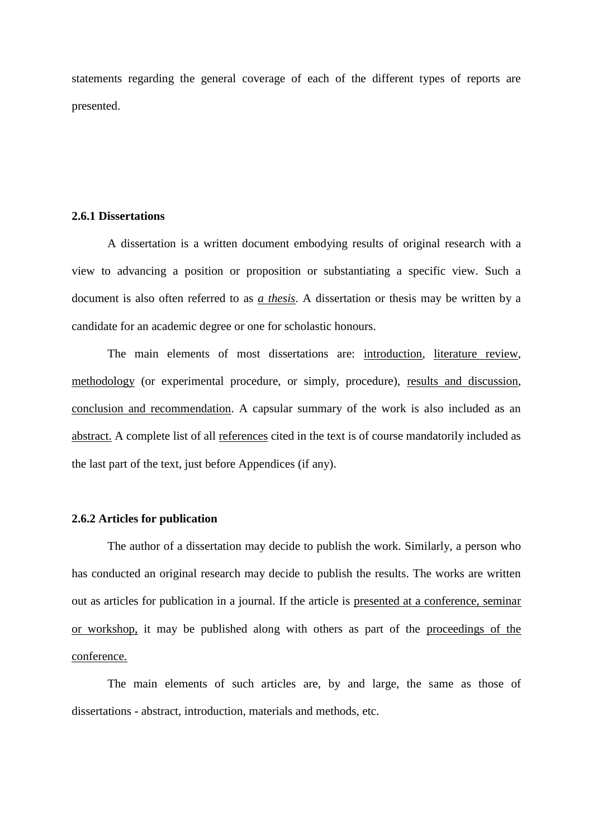statements regarding the general coverage of each of the different types of reports are presented.

#### **2.6.1 Dissertations**

A dissertation is a written document embodying results of original research with a view to advancing a position or proposition or substantiating a specific view. Such a document is also often referred to as *a thesis*. A dissertation or thesis may be written by a candidate for an academic degree or one for scholastic honours.

The main elements of most dissertations are: introduction, literature review, methodology (or experimental procedure, or simply, procedure), results and discussion, conclusion and recommendation. A capsular summary of the work is also included as an abstract. A complete list of all references cited in the text is of course mandatorily included as the last part of the text, just before Appendices (if any).

### **2.6.2 Articles for publication**

The author of a dissertation may decide to publish the work. Similarly, a person who has conducted an original research may decide to publish the results. The works are written out as articles for publication in a journal. If the article is presented at a conference, seminar or workshop, it may be published along with others as part of the proceedings of the conference.

The main elements of such articles are, by and large, the same as those of dissertations - abstract, introduction, materials and methods, etc.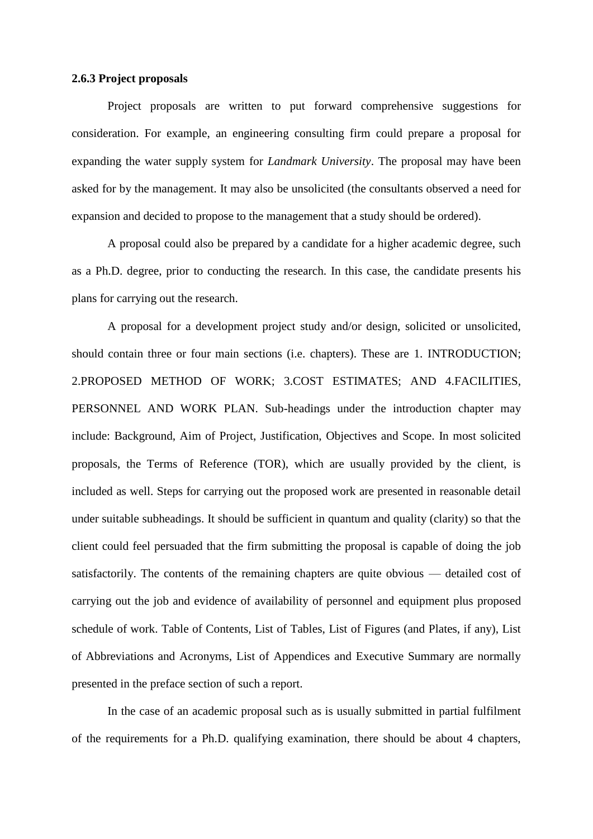#### **2.6.3 Project proposals**

Project proposals are written to put forward comprehensive suggestions for consideration. For example, an engineering consulting firm could prepare a proposal for expanding the water supply system for *Landmark University*. The proposal may have been asked for by the management. It may also be unsolicited (the consultants observed a need for expansion and decided to propose to the management that a study should be ordered).

A proposal could also be prepared by a candidate for a higher academic degree, such as a Ph.D. degree, prior to conducting the research. In this case, the candidate presents his plans for carrying out the research.

A proposal for a development project study and/or design, solicited or unsolicited, should contain three or four main sections (i.e. chapters). These are 1. INTRODUCTION; 2.PROPOSED METHOD OF WORK; 3.COST ESTIMATES; AND 4.FACILITIES, PERSONNEL AND WORK PLAN. Sub-headings under the introduction chapter may include: Background, Aim of Project, Justification, Objectives and Scope. In most solicited proposals, the Terms of Reference (TOR), which are usually provided by the client, is included as well. Steps for carrying out the proposed work are presented in reasonable detail under suitable subheadings. It should be sufficient in quantum and quality (clarity) so that the client could feel persuaded that the firm submitting the proposal is capable of doing the job satisfactorily. The contents of the remaining chapters are quite obvious — detailed cost of carrying out the job and evidence of availability of personnel and equipment plus proposed schedule of work. Table of Contents, List of Tables, List of Figures (and Plates, if any), List of Abbreviations and Acronyms, List of Appendices and Executive Summary are normally presented in the preface section of such a report.

In the case of an academic proposal such as is usually submitted in partial fulfilment of the requirements for a Ph.D. qualifying examination, there should be about 4 chapters,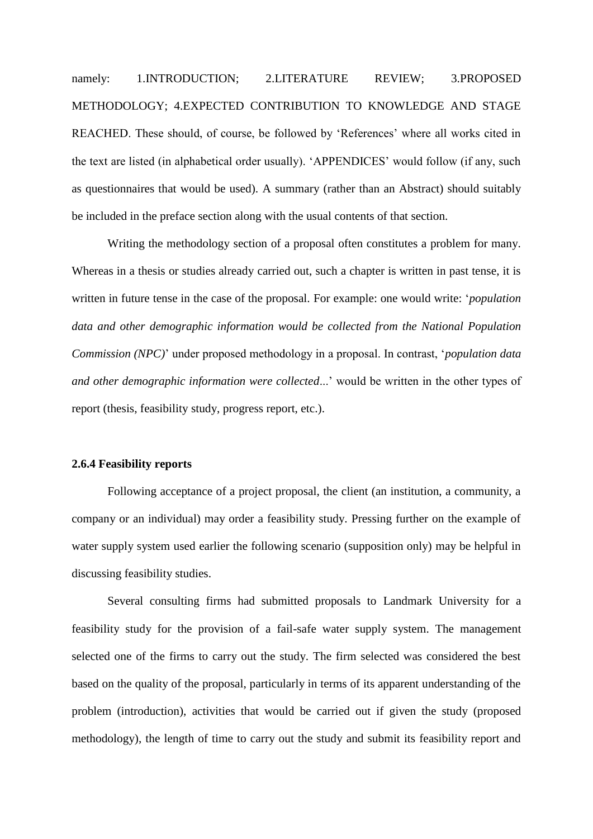namely: 1.INTRODUCTION; 2.LITERATURE REVIEW; 3.PROPOSED METHODOLOGY; 4.EXPECTED CONTRIBUTION TO KNOWLEDGE AND STAGE REACHED. These should, of course, be followed by 'References' where all works cited in the text are listed (in alphabetical order usually). "APPENDICES" would follow (if any, such as questionnaires that would be used). A summary (rather than an Abstract) should suitably be included in the preface section along with the usual contents of that section.

Writing the methodology section of a proposal often constitutes a problem for many. Whereas in a thesis or studies already carried out, such a chapter is written in past tense, it is written in future tense in the case of the proposal. For example: one would write: "*population data and other demographic information would be collected from the National Population Commission (NPC)*" under proposed methodology in a proposal. In contrast, "*population data and other demographic information were collected...'* would be written in the other types of report (thesis, feasibility study, progress report, etc.).

#### **2.6.4 Feasibility reports**

Following acceptance of a project proposal, the client (an institution, a community, a company or an individual) may order a feasibility study. Pressing further on the example of water supply system used earlier the following scenario (supposition only) may be helpful in discussing feasibility studies.

Several consulting firms had submitted proposals to Landmark University for a feasibility study for the provision of a fail-safe water supply system. The management selected one of the firms to carry out the study. The firm selected was considered the best based on the quality of the proposal, particularly in terms of its apparent understanding of the problem (introduction), activities that would be carried out if given the study (proposed methodology), the length of time to carry out the study and submit its feasibility report and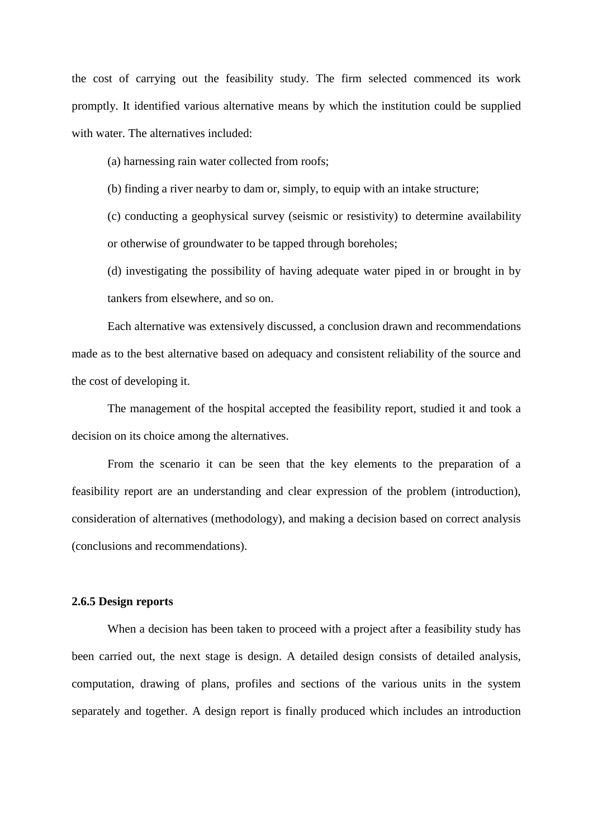the cost of carrying out the feasibility study. The firm selected commenced its work promptly. It identified various alternative means by which the institution could be supplied with water. The alternatives included:

(a) harnessing rain water collected from roofs;

(b) finding a river nearby to dam or, simply, to equip with an intake structure;

(c) conducting a geophysical survey (seismic or resistivity) to determine availability or otherwise of groundwater to be tapped through boreholes;

(d) investigating the possibility of having adequate water piped in or brought in by tankers from elsewhere, and so on.

Each alternative was extensively discussed, a conclusion drawn and recommendations made as to the best alternative based on adequacy and consistent reliability of the source and the cost of developing it.

The management of the hospital accepted the feasibility report, studied it and took a decision on its choice among the alternatives.

From the scenario it can be seen that the key elements to the preparation of a feasibility report are an understanding and clear expression of the problem (introduction), consideration of alternatives (methodology), and making a decision based on correct analysis (conclusions and recommendations).

#### **2.6.5 Design reports**

When a decision has been taken to proceed with a project after a feasibility study has been carried out, the next stage is design. A detailed design consists of detailed analysis, computation, drawing of plans, profiles and sections of the various units in the system separately and together. A design report is finally produced which includes an introduction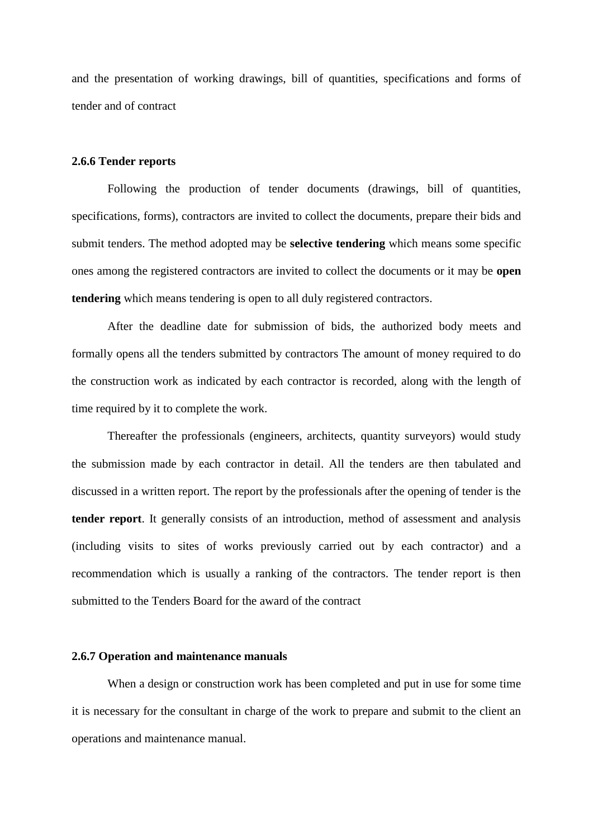and the presentation of working drawings, bill of quantities, specifications and forms of tender and of contract

#### **2.6.6 Tender reports**

Following the production of tender documents (drawings, bill of quantities, specifications, forms), contractors are invited to collect the documents, prepare their bids and submit tenders. The method adopted may be **selective tendering** which means some specific ones among the registered contractors are invited to collect the documents or it may be **open tendering** which means tendering is open to all duly registered contractors.

After the deadline date for submission of bids, the authorized body meets and formally opens all the tenders submitted by contractors The amount of money required to do the construction work as indicated by each contractor is recorded, along with the length of time required by it to complete the work.

Thereafter the professionals (engineers, architects, quantity surveyors) would study the submission made by each contractor in detail. All the tenders are then tabulated and discussed in a written report. The report by the professionals after the opening of tender is the **tender report**. It generally consists of an introduction, method of assessment and analysis (including visits to sites of works previously carried out by each contractor) and a recommendation which is usually a ranking of the contractors. The tender report is then submitted to the Tenders Board for the award of the contract

#### **2.6.7 Operation and maintenance manuals**

When a design or construction work has been completed and put in use for some time it is necessary for the consultant in charge of the work to prepare and submit to the client an operations and maintenance manual.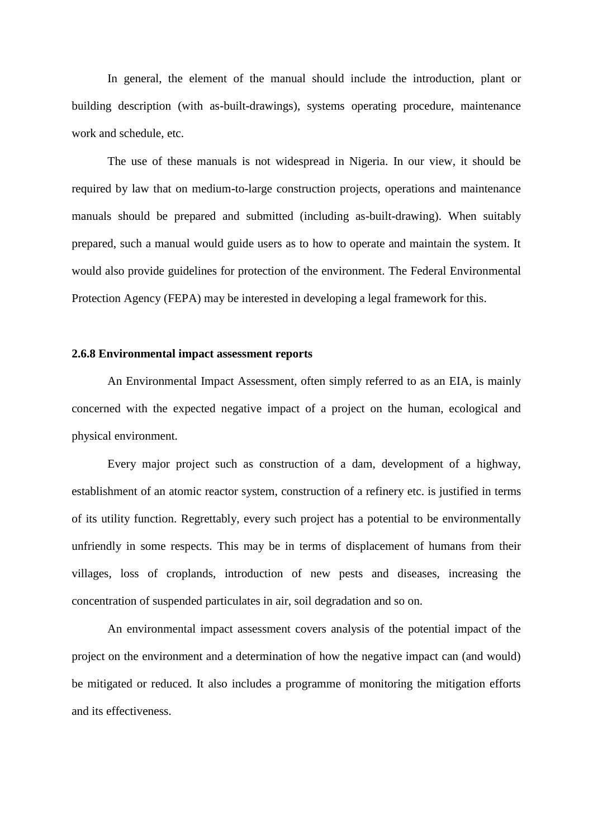In general, the element of the manual should include the introduction, plant or building description (with as-built-drawings), systems operating procedure, maintenance work and schedule, etc.

The use of these manuals is not widespread in Nigeria. In our view, it should be required by law that on medium-to-large construction projects, operations and maintenance manuals should be prepared and submitted (including as-built-drawing). When suitably prepared, such a manual would guide users as to how to operate and maintain the system. It would also provide guidelines for protection of the environment. The Federal Environmental Protection Agency (FEPA) may be interested in developing a legal framework for this.

#### **2.6.8 Environmental impact assessment reports**

An Environmental Impact Assessment, often simply referred to as an EIA, is mainly concerned with the expected negative impact of a project on the human, ecological and physical environment.

Every major project such as construction of a dam, development of a highway, establishment of an atomic reactor system, construction of a refinery etc. is justified in terms of its utility function. Regrettably, every such project has a potential to be environmentally unfriendly in some respects. This may be in terms of displacement of humans from their villages, loss of croplands, introduction of new pests and diseases, increasing the concentration of suspended particulates in air, soil degradation and so on.

An environmental impact assessment covers analysis of the potential impact of the project on the environment and a determination of how the negative impact can (and would) be mitigated or reduced. It also includes a programme of monitoring the mitigation efforts and its effectiveness.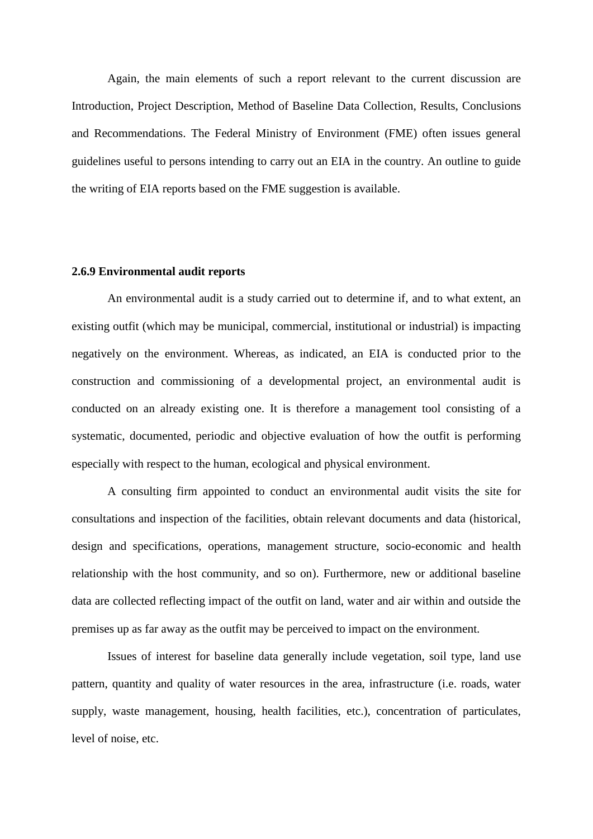Again, the main elements of such a report relevant to the current discussion are Introduction, Project Description, Method of Baseline Data Collection, Results, Conclusions and Recommendations. The Federal Ministry of Environment (FME) often issues general guidelines useful to persons intending to carry out an EIA in the country. An outline to guide the writing of EIA reports based on the FME suggestion is available.

#### **2.6.9 Environmental audit reports**

An environmental audit is a study carried out to determine if, and to what extent, an existing outfit (which may be municipal, commercial, institutional or industrial) is impacting negatively on the environment. Whereas, as indicated, an EIA is conducted prior to the construction and commissioning of a developmental project, an environmental audit is conducted on an already existing one. It is therefore a management tool consisting of a systematic, documented, periodic and objective evaluation of how the outfit is performing especially with respect to the human, ecological and physical environment.

A consulting firm appointed to conduct an environmental audit visits the site for consultations and inspection of the facilities, obtain relevant documents and data (historical, design and specifications, operations, management structure, socio-economic and health relationship with the host community, and so on). Furthermore, new or additional baseline data are collected reflecting impact of the outfit on land, water and air within and outside the premises up as far away as the outfit may be perceived to impact on the environment.

Issues of interest for baseline data generally include vegetation, soil type, land use pattern, quantity and quality of water resources in the area, infrastructure (i.e. roads, water supply, waste management, housing, health facilities, etc.), concentration of particulates, level of noise, etc.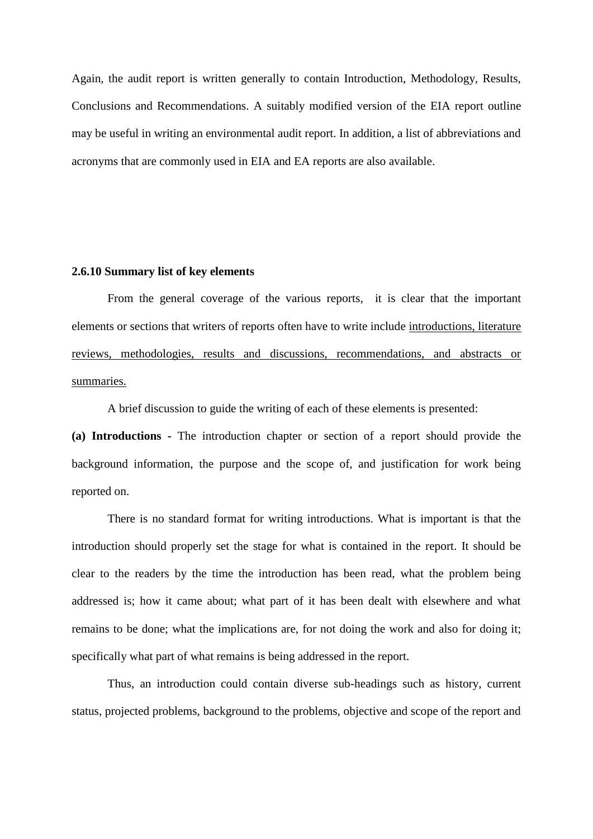Again, the audit report is written generally to contain Introduction, Methodology, Results, Conclusions and Recommendations. A suitably modified version of the EIA report outline may be useful in writing an environmental audit report. In addition, a list of abbreviations and acronyms that are commonly used in EIA and EA reports are also available.

#### **2.6.10 Summary list of key elements**

From the general coverage of the various reports, it is clear that the important elements or sections that writers of reports often have to write include introductions, literature reviews, methodologies, results and discussions, recommendations, and abstracts or summaries.

A brief discussion to guide the writing of each of these elements is presented:

**(a) Introductions -** The introduction chapter or section of a report should provide the background information, the purpose and the scope of, and justification for work being reported on.

There is no standard format for writing introductions. What is important is that the introduction should properly set the stage for what is contained in the report. It should be clear to the readers by the time the introduction has been read, what the problem being addressed is; how it came about; what part of it has been dealt with elsewhere and what remains to be done; what the implications are, for not doing the work and also for doing it; specifically what part of what remains is being addressed in the report.

Thus, an introduction could contain diverse sub-headings such as history, current status, projected problems, background to the problems, objective and scope of the report and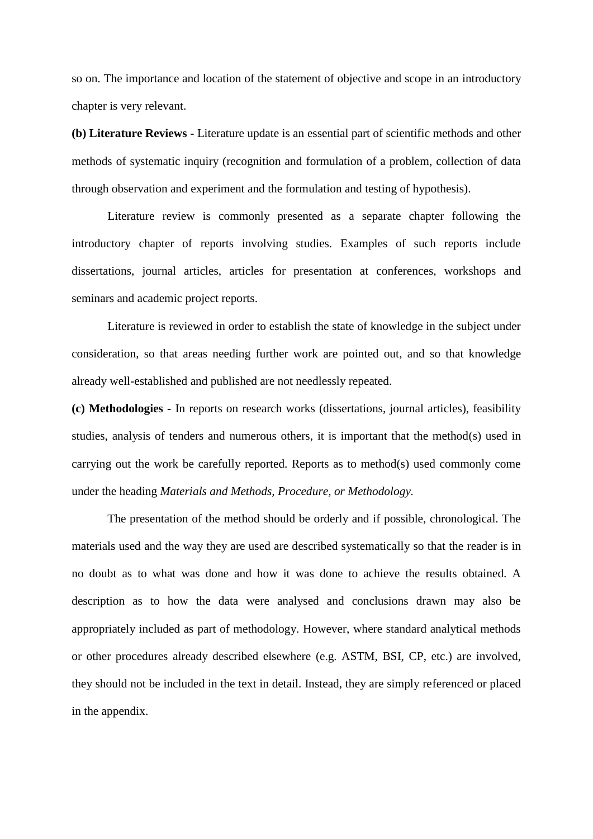so on. The importance and location of the statement of objective and scope in an introductory chapter is very relevant.

**(b) Literature Reviews -** Literature update is an essential part of scientific methods and other methods of systematic inquiry (recognition and formulation of a problem, collection of data through observation and experiment and the formulation and testing of hypothesis).

Literature review is commonly presented as a separate chapter following the introductory chapter of reports involving studies. Examples of such reports include dissertations, journal articles, articles for presentation at conferences, workshops and seminars and academic project reports.

Literature is reviewed in order to establish the state of knowledge in the subject under consideration, so that areas needing further work are pointed out, and so that knowledge already well-established and published are not needlessly repeated.

**(c) Methodologies -** In reports on research works (dissertations, journal articles), feasibility studies, analysis of tenders and numerous others, it is important that the method(s) used in carrying out the work be carefully reported. Reports as to method(s) used commonly come under the heading *Materials and Methods, Procedure, or Methodology.*

The presentation of the method should be orderly and if possible, chronological. The materials used and the way they are used are described systematically so that the reader is in no doubt as to what was done and how it was done to achieve the results obtained. A description as to how the data were analysed and conclusions drawn may also be appropriately included as part of methodology. However, where standard analytical methods or other procedures already described elsewhere (e.g. ASTM, BSI, CP, etc.) are involved, they should not be included in the text in detail. Instead, they are simply referenced or placed in the appendix.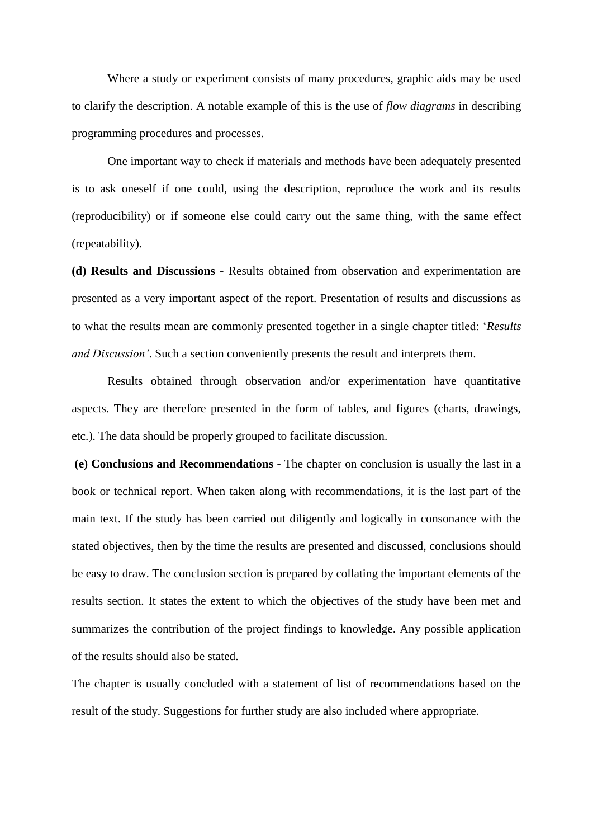Where a study or experiment consists of many procedures, graphic aids may be used to clarify the description. A notable example of this is the use of *flow diagrams* in describing programming procedures and processes.

One important way to check if materials and methods have been adequately presented is to ask oneself if one could, using the description, reproduce the work and its results (reproducibility) or if someone else could carry out the same thing, with the same effect (repeatability).

**(d) Results and Discussions -** Results obtained from observation and experimentation are presented as a very important aspect of the report. Presentation of results and discussions as to what the results mean are commonly presented together in a single chapter titled: "*Results and Discussion'*. Such a section conveniently presents the result and interprets them.

Results obtained through observation and/or experimentation have quantitative aspects. They are therefore presented in the form of tables, and figures (charts, drawings, etc.). The data should be properly grouped to facilitate discussion.

**(e) Conclusions and Recommendations -** The chapter on conclusion is usually the last in a book or technical report. When taken along with recommendations, it is the last part of the main text. If the study has been carried out diligently and logically in consonance with the stated objectives, then by the time the results are presented and discussed, conclusions should be easy to draw. The conclusion section is prepared by collating the important elements of the results section. It states the extent to which the objectives of the study have been met and summarizes the contribution of the project findings to knowledge. Any possible application of the results should also be stated.

The chapter is usually concluded with a statement of list of recommendations based on the result of the study. Suggestions for further study are also included where appropriate.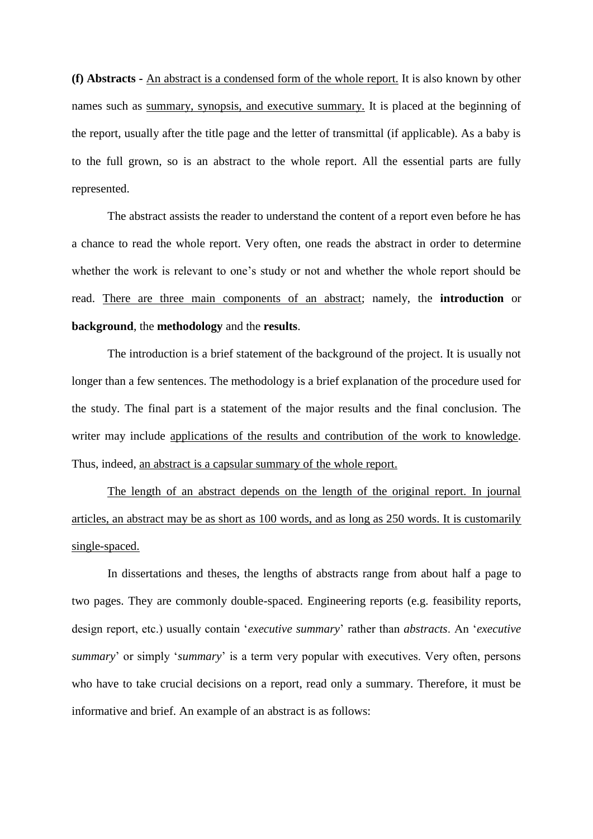**(f) Abstracts -** An abstract is a condensed form of the whole report. It is also known by other names such as summary, synopsis, and executive summary. It is placed at the beginning of the report, usually after the title page and the letter of transmittal (if applicable). As a baby is to the full grown, so is an abstract to the whole report. All the essential parts are fully represented.

The abstract assists the reader to understand the content of a report even before he has a chance to read the whole report. Very often, one reads the abstract in order to determine whether the work is relevant to one's study or not and whether the whole report should be read. There are three main components of an abstract; namely, the **introduction** or **background**, the **methodology** and the **results**.

The introduction is a brief statement of the background of the project. It is usually not longer than a few sentences. The methodology is a brief explanation of the procedure used for the study. The final part is a statement of the major results and the final conclusion. The writer may include applications of the results and contribution of the work to knowledge. Thus, indeed, an abstract is a capsular summary of the whole report.

The length of an abstract depends on the length of the original report. In journal articles, an abstract may be as short as 100 words, and as long as 250 words. It is customarily single-spaced.

In dissertations and theses, the lengths of abstracts range from about half a page to two pages. They are commonly double-spaced. Engineering reports (e.g. feasibility reports, design report, etc.) usually contain "*executive summary*" rather than *abstracts*. An "*executive summary*" or simply "*summary*" is a term very popular with executives. Very often, persons who have to take crucial decisions on a report, read only a summary. Therefore, it must be informative and brief. An example of an abstract is as follows: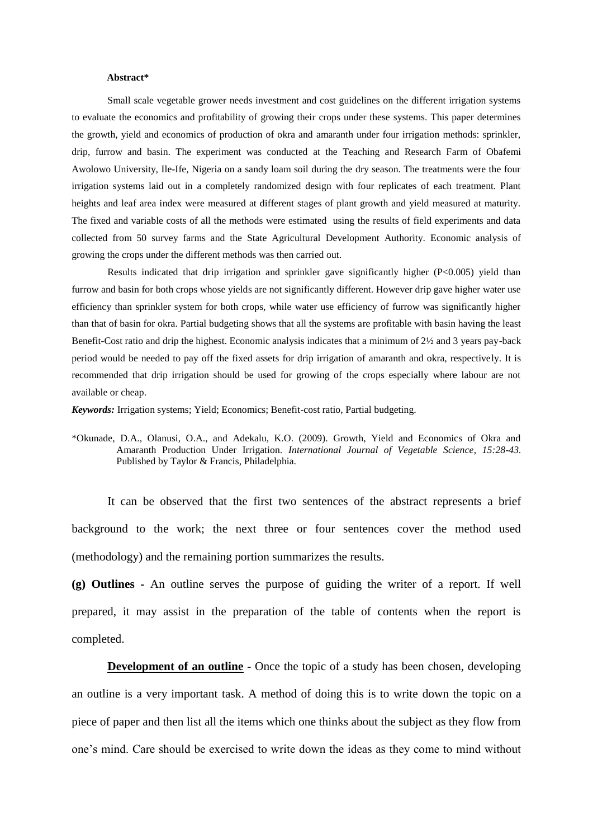#### **Abstract\***

Small scale vegetable grower needs investment and cost guidelines on the different irrigation systems to evaluate the economics and profitability of growing their crops under these systems. This paper determines the growth, yield and economics of production of okra and amaranth under four irrigation methods: sprinkler, drip, furrow and basin. The experiment was conducted at the Teaching and Research Farm of Obafemi Awolowo University, Ile-Ife, Nigeria on a sandy loam soil during the dry season. The treatments were the four irrigation systems laid out in a completely randomized design with four replicates of each treatment. Plant heights and leaf area index were measured at different stages of plant growth and yield measured at maturity. The fixed and variable costs of all the methods were estimated using the results of field experiments and data collected from 50 survey farms and the State Agricultural Development Authority. Economic analysis of growing the crops under the different methods was then carried out.

Results indicated that drip irrigation and sprinkler gave significantly higher (P<0.005) yield than furrow and basin for both crops whose yields are not significantly different. However drip gave higher water use efficiency than sprinkler system for both crops, while water use efficiency of furrow was significantly higher than that of basin for okra. Partial budgeting shows that all the systems are profitable with basin having the least Benefit-Cost ratio and drip the highest. Economic analysis indicates that a minimum of 2½ and 3 years pay-back period would be needed to pay off the fixed assets for drip irrigation of amaranth and okra, respectively. It is recommended that drip irrigation should be used for growing of the crops especially where labour are not available or cheap.

*Keywords:* Irrigation systems; Yield; Economics; Benefit-cost ratio, Partial budgeting.

\*Okunade, D.A., Olanusi, O.A., and Adekalu, K.O. (2009). Growth, Yield and Economics of Okra and Amaranth Production Under Irrigation. *International Journal of Vegetable Science*, *15:28-43.* Published by Taylor & Francis, Philadelphia.

It can be observed that the first two sentences of the abstract represents a brief background to the work; the next three or four sentences cover the method used (methodology) and the remaining portion summarizes the results.

**(g) Outlines -** An outline serves the purpose of guiding the writer of a report. If well prepared, it may assist in the preparation of the table of contents when the report is completed.

**Development of an outline -** Once the topic of a study has been chosen, developing an outline is a very important task. A method of doing this is to write down the topic on a piece of paper and then list all the items which one thinks about the subject as they flow from one"s mind. Care should be exercised to write down the ideas as they come to mind without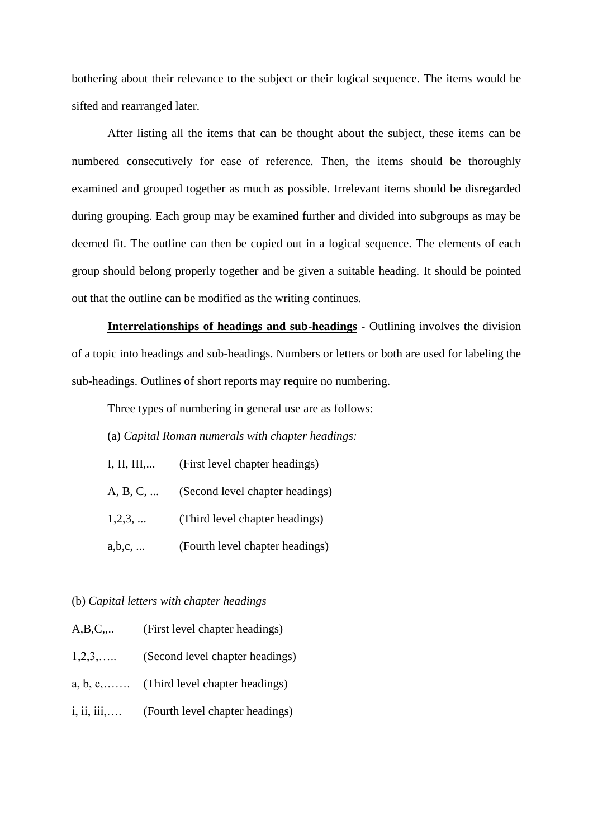bothering about their relevance to the subject or their logical sequence. The items would be sifted and rearranged later.

After listing all the items that can be thought about the subject, these items can be numbered consecutively for ease of reference. Then, the items should be thoroughly examined and grouped together as much as possible. Irrelevant items should be disregarded during grouping. Each group may be examined further and divided into subgroups as may be deemed fit. The outline can then be copied out in a logical sequence. The elements of each group should belong properly together and be given a suitable heading. It should be pointed out that the outline can be modified as the writing continues.

**Interrelationships of headings and sub-headings -** Outlining involves the division of a topic into headings and sub-headings. Numbers or letters or both are used for labeling the sub-headings. Outlines of short reports may require no numbering.

Three types of numbering in general use are as follows:

(a) *Capital Roman numerals with chapter headings:*

- I, II, III,... (First level chapter headings)
- A, B, C, ... (Second level chapter headings)
- 1,2,3, ... (Third level chapter headings)
- a,b,c, ... (Fourth level chapter headings)

#### (b) *Capital letters with chapter headings*

|  | A,B,C, | (First level chapter headings) |  |  |
|--|--------|--------------------------------|--|--|
|--|--------|--------------------------------|--|--|

- 1,2,3,….. (Second level chapter headings)
- a, b, c,……. (Third level chapter headings)
- i, ii, iii,…. (Fourth level chapter headings)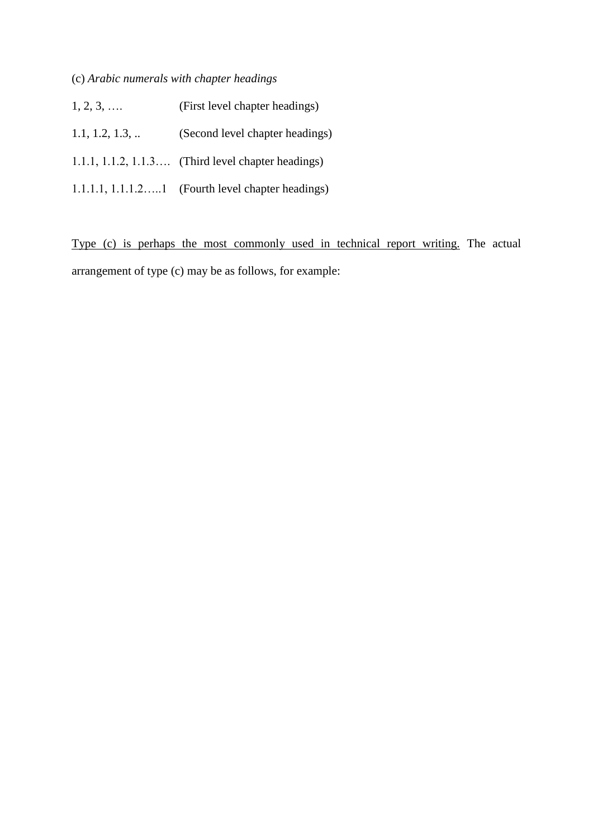# (c) *Arabic numerals with chapter headings*

| $1, 2, 3, \ldots$ | (First level chapter headings)                         |
|-------------------|--------------------------------------------------------|
| 1.1, 1.2, 1.3,    | (Second level chapter headings)                        |
|                   | $1.1.1, 1.1.2, 1.1.3$ (Third level chapter headings)   |
|                   | $1.1.1.1$ , $1.1.1.21$ (Fourth level chapter headings) |

Type (c) is perhaps the most commonly used in technical report writing. The actual arrangement of type (c) may be as follows, for example: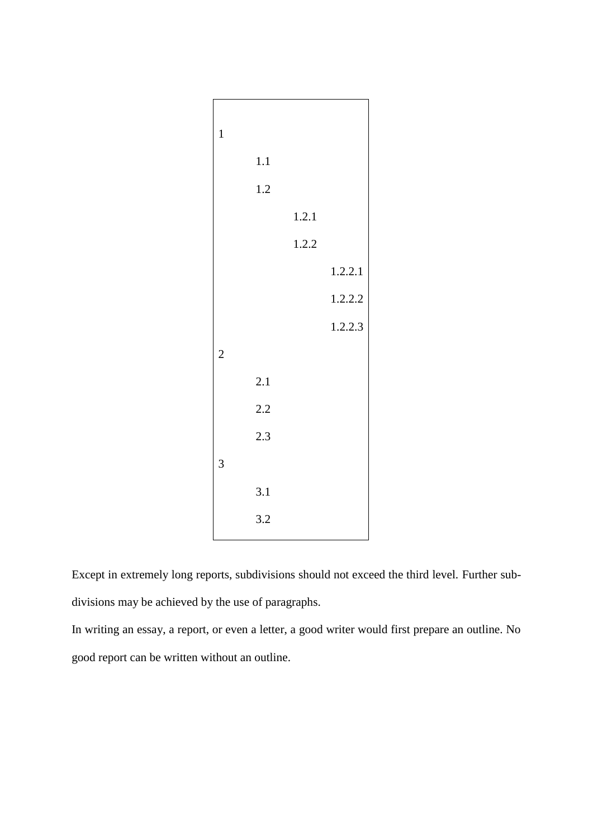| $\mathbf{1}$   |     |       |         |
|----------------|-----|-------|---------|
|                | 1.1 |       |         |
|                | 1.2 |       |         |
|                |     | 1.2.1 |         |
|                |     | 1.2.2 |         |
|                |     |       | 1.2.2.1 |
|                |     |       | 1.2.2.2 |
|                |     |       | 1.2.2.3 |
| $\overline{c}$ |     |       |         |
|                | 2.1 |       |         |
|                | 2.2 |       |         |
|                | 2.3 |       |         |
| 3              |     |       |         |
|                | 3.1 |       |         |
|                | 3.2 |       |         |

Except in extremely long reports, subdivisions should not exceed the third level. Further subdivisions may be achieved by the use of paragraphs.

In writing an essay, a report, or even a letter, a good writer would first prepare an outline. No good report can be written without an outline.